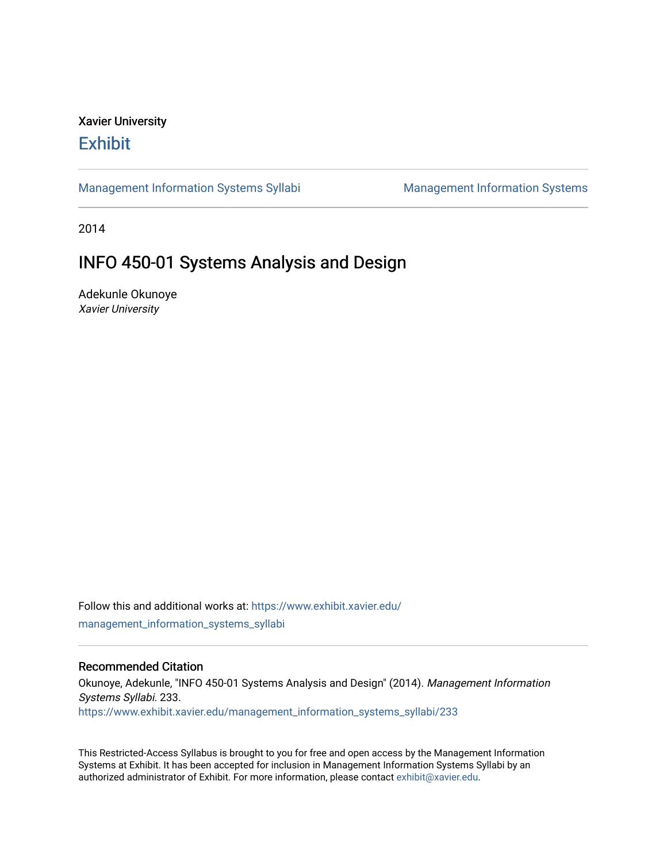# Xavier University **Exhibit**

[Management Information Systems Syllabi](https://www.exhibit.xavier.edu/management_information_systems_syllabi) Management Information Systems

2014

# INFO 450-01 Systems Analysis and Design

Adekunle Okunoye Xavier University

Follow this and additional works at: [https://www.exhibit.xavier.edu/](https://www.exhibit.xavier.edu/management_information_systems_syllabi?utm_source=www.exhibit.xavier.edu%2Fmanagement_information_systems_syllabi%2F233&utm_medium=PDF&utm_campaign=PDFCoverPages) [management\\_information\\_systems\\_syllabi](https://www.exhibit.xavier.edu/management_information_systems_syllabi?utm_source=www.exhibit.xavier.edu%2Fmanagement_information_systems_syllabi%2F233&utm_medium=PDF&utm_campaign=PDFCoverPages) 

#### Recommended Citation

Okunoye, Adekunle, "INFO 450-01 Systems Analysis and Design" (2014). Management Information Systems Syllabi. 233. [https://www.exhibit.xavier.edu/management\\_information\\_systems\\_syllabi/233](https://www.exhibit.xavier.edu/management_information_systems_syllabi/233?utm_source=www.exhibit.xavier.edu%2Fmanagement_information_systems_syllabi%2F233&utm_medium=PDF&utm_campaign=PDFCoverPages) 

This Restricted-Access Syllabus is brought to you for free and open access by the Management Information Systems at Exhibit. It has been accepted for inclusion in Management Information Systems Syllabi by an authorized administrator of Exhibit. For more information, please contact [exhibit@xavier.edu](mailto:exhibit@xavier.edu).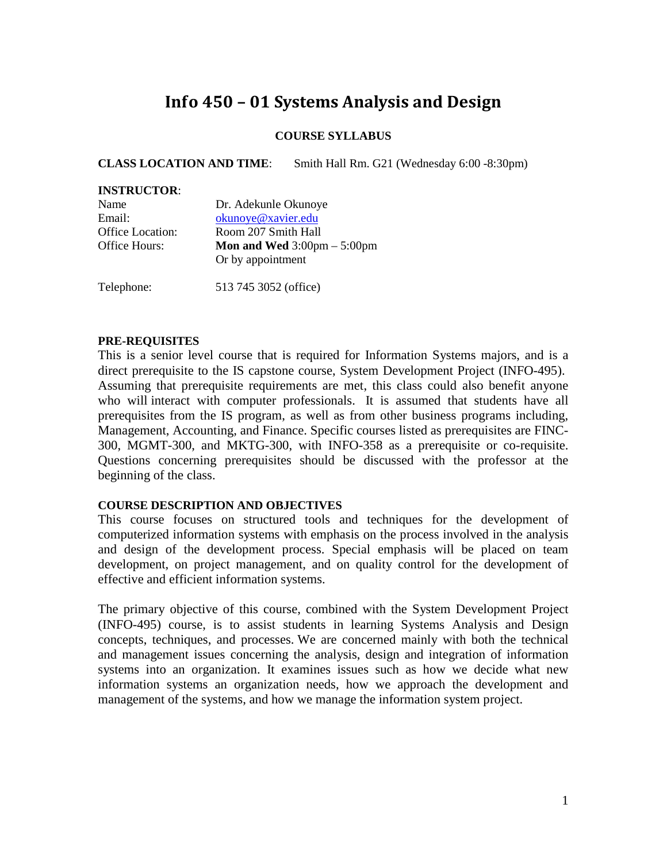# **Info 450 – 01 Systems Analysis and Design**

#### **COURSE SYLLABUS**

**CLASS LOCATION AND TIME**: Smith Hall Rm. G21 (Wednesday 6:00 -8:30pm)

#### **INSTRUCTOR**:

| Name                    | Dr. Adekunle Okunoye                                 |
|-------------------------|------------------------------------------------------|
| Email:                  | okunoye@xavier.edu                                   |
| <b>Office Location:</b> | Room 207 Smith Hall                                  |
| Office Hours:           | <b>Mon and Wed</b> $3:00 \text{pm} - 5:00 \text{pm}$ |
|                         | Or by appointment                                    |
|                         |                                                      |

Telephone: 513 745 3052 (office)

#### **PRE-REQUISITES**

This is a senior level course that is required for Information Systems majors, and is a direct prerequisite to the IS capstone course, System Development Project (INFO-495). Assuming that prerequisite requirements are met, this class could also benefit anyone who will interact with computer professionals. It is assumed that students have all prerequisites from the IS program, as well as from other business programs including, Management, Accounting, and Finance. Specific courses listed as prerequisites are FINC-300, MGMT-300, and MKTG-300, with INFO-358 as a prerequisite or co-requisite. Questions concerning prerequisites should be discussed with the professor at the beginning of the class.

#### **COURSE DESCRIPTION AND OBJECTIVES**

This course focuses on structured tools and techniques for the development of computerized information systems with emphasis on the process involved in the analysis and design of the development process. Special emphasis will be placed on team development, on project management, and on quality control for the development of effective and efficient information systems.

The primary objective of this course, combined with the System Development Project (INFO-495) course, is to assist students in learning Systems Analysis and Design concepts, techniques, and processes. We are concerned mainly with both the technical and management issues concerning the analysis, design and integration of information systems into an organization. It examines issues such as how we decide what new information systems an organization needs, how we approach the development and management of the systems, and how we manage the information system project.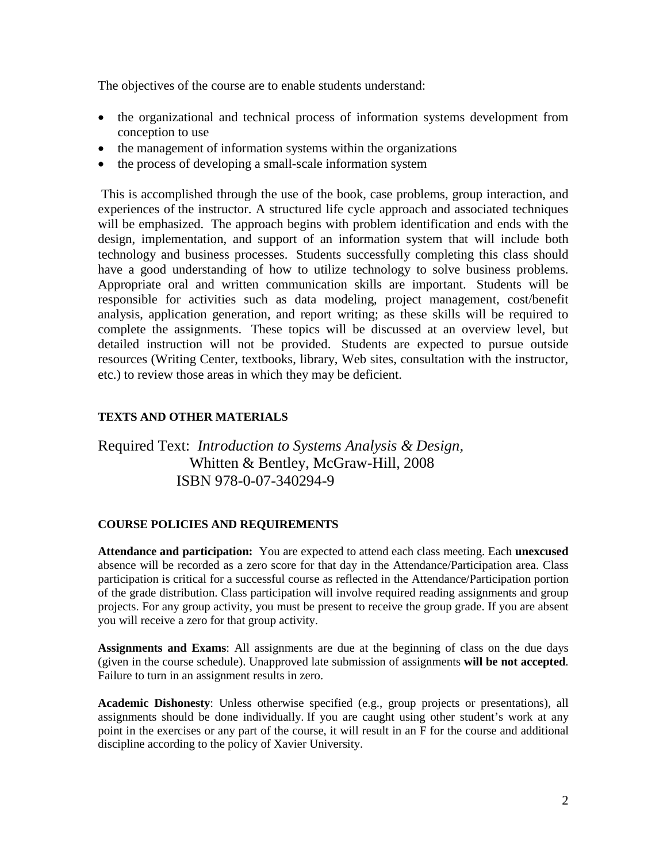The objectives of the course are to enable students understand:

- the organizational and technical process of information systems development from conception to use
- the management of information systems within the organizations
- the process of developing a small-scale information system

This is accomplished through the use of the book, case problems, group interaction, and experiences of the instructor. A structured life cycle approach and associated techniques will be emphasized. The approach begins with problem identification and ends with the design, implementation, and support of an information system that will include both technology and business processes. Students successfully completing this class should have a good understanding of how to utilize technology to solve business problems. Appropriate oral and written communication skills are important. Students will be responsible for activities such as data modeling, project management, cost/benefit analysis, application generation, and report writing; as these skills will be required to complete the assignments. These topics will be discussed at an overview level, but detailed instruction will not be provided. Students are expected to pursue outside resources (Writing Center, textbooks, library, Web sites, consultation with the instructor, etc.) to review those areas in which they may be deficient.

#### **TEXTS AND OTHER MATERIALS**

## Required Text: *Introduction to Systems Analysis & Design,* Whitten & Bentley, McGraw-Hill, 2008 ISBN 978-0-07-340294-9

#### **COURSE POLICIES AND REQUIREMENTS**

**Attendance and participation:** You are expected to attend each class meeting. Each **unexcused** absence will be recorded as a zero score for that day in the Attendance/Participation area. Class participation is critical for a successful course as reflected in the Attendance/Participation portion of the grade distribution. Class participation will involve required reading assignments and group projects. For any group activity, you must be present to receive the group grade. If you are absent you will receive a zero for that group activity.

**Assignments and Exams**: All assignments are due at the beginning of class on the due days (given in the course schedule). Unapproved late submission of assignments **will be not accepted**. Failure to turn in an assignment results in zero.

**Academic Dishonesty**: Unless otherwise specified (e.g., group projects or presentations), all assignments should be done individually. If you are caught using other student's work at any point in the exercises or any part of the course, it will result in an F for the course and additional discipline according to the policy of Xavier University.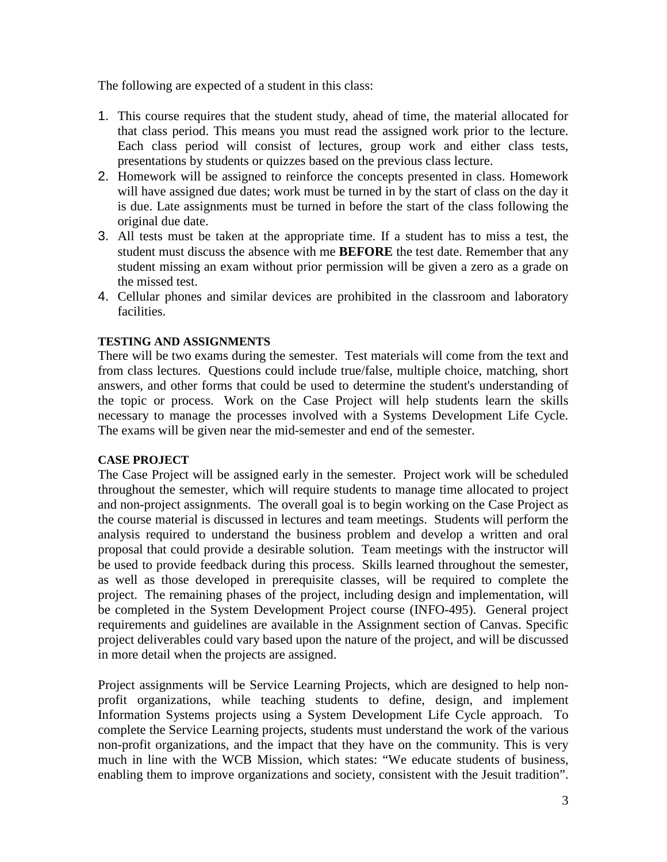The following are expected of a student in this class:

- 1. This course requires that the student study, ahead of time, the material allocated for that class period. This means you must read the assigned work prior to the lecture. Each class period will consist of lectures, group work and either class tests, presentations by students or quizzes based on the previous class lecture.
- 2. Homework will be assigned to reinforce the concepts presented in class. Homework will have assigned due dates; work must be turned in by the start of class on the day it is due. Late assignments must be turned in before the start of the class following the original due date.
- 3. All tests must be taken at the appropriate time. If a student has to miss a test, the student must discuss the absence with me **BEFORE** the test date. Remember that any student missing an exam without prior permission will be given a zero as a grade on the missed test.
- 4. Cellular phones and similar devices are prohibited in the classroom and laboratory facilities.

#### **TESTING AND ASSIGNMENTS**

There will be two exams during the semester. Test materials will come from the text and from class lectures. Questions could include true/false, multiple choice, matching, short answers, and other forms that could be used to determine the student's understanding of the topic or process. Work on the Case Project will help students learn the skills necessary to manage the processes involved with a Systems Development Life Cycle. The exams will be given near the mid-semester and end of the semester.

#### **CASE PROJECT**

The Case Project will be assigned early in the semester. Project work will be scheduled throughout the semester, which will require students to manage time allocated to project and non-project assignments. The overall goal is to begin working on the Case Project as the course material is discussed in lectures and team meetings. Students will perform the analysis required to understand the business problem and develop a written and oral proposal that could provide a desirable solution. Team meetings with the instructor will be used to provide feedback during this process. Skills learned throughout the semester, as well as those developed in prerequisite classes, will be required to complete the project. The remaining phases of the project, including design and implementation, will be completed in the System Development Project course (INFO-495). General project requirements and guidelines are available in the Assignment section of Canvas. Specific project deliverables could vary based upon the nature of the project, and will be discussed in more detail when the projects are assigned.

Project assignments will be Service Learning Projects, which are designed to help nonprofit organizations, while teaching students to define, design, and implement Information Systems projects using a System Development Life Cycle approach. To complete the Service Learning projects, students must understand the work of the various non-profit organizations, and the impact that they have on the community. This is very much in line with the WCB Mission, which states: "We educate students of business, enabling them to improve organizations and society, consistent with the Jesuit tradition".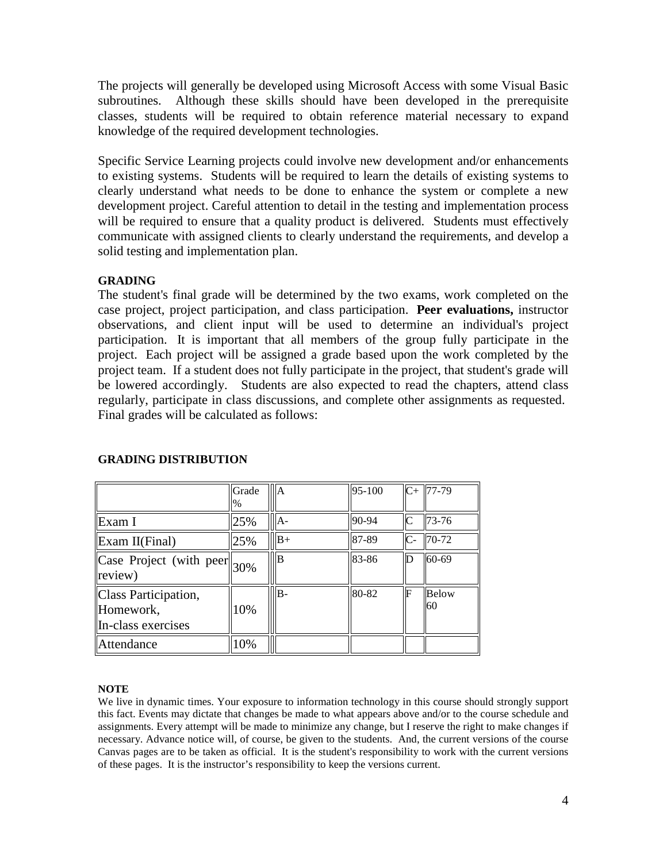The projects will generally be developed using Microsoft Access with some Visual Basic subroutines. Although these skills should have been developed in the prerequisite classes, students will be required to obtain reference material necessary to expand knowledge of the required development technologies.

Specific Service Learning projects could involve new development and/or enhancements to existing systems. Students will be required to learn the details of existing systems to clearly understand what needs to be done to enhance the system or complete a new development project. Careful attention to detail in the testing and implementation process will be required to ensure that a quality product is delivered. Students must effectively communicate with assigned clients to clearly understand the requirements, and develop a solid testing and implementation plan.

#### **GRADING**

The student's final grade will be determined by the two exams, work completed on the case project, project participation, and class participation. **Peer evaluations,** instructor observations, and client input will be used to determine an individual's project participation. It is important that all members of the group fully participate in the project. Each project will be assigned a grade based upon the work completed by the project team. If a student does not fully participate in the project, that student's grade will be lowered accordingly. Students are also expected to read the chapters, attend class regularly, participate in class discussions, and complete other assignments as requested. Final grades will be calculated as follows:

|                                                                                     | Grade<br>$\%$ | lA.  | 95-100 |              | $C+$ 77-79  |
|-------------------------------------------------------------------------------------|---------------|------|--------|--------------|-------------|
| Exam I                                                                              | 25%           | $A-$ | 90-94  | $\mathsf{C}$ | 73-76       |
| Exam II(Final)                                                                      | 25%           | $B+$ | 87-89  | $\mathsf{C}$ | 70-72       |
| $\boxed{\text{Case Project}}$ (with peer $\parallel$ <sub>30%</sub><br>$\ $ review) |               | l B  | 83-86  | lD           | 60-69       |
| Class Participation,<br>Homework,<br>In-class exercises                             | 10%           | lB-  | 80-82  | lF           | Below<br>60 |
| Attendance                                                                          | 10%           |      |        |              |             |

#### **GRADING DISTRIBUTION**

#### **NOTE**

We live in dynamic times. Your exposure to information technology in this course should strongly support this fact. Events may dictate that changes be made to what appears above and/or to the course schedule and assignments. Every attempt will be made to minimize any change, but I reserve the right to make changes if necessary. Advance notice will, of course, be given to the students. And, the current versions of the course Canvas pages are to be taken as official. It is the student's responsibility to work with the current versions of these pages. It is the instructor's responsibility to keep the versions current.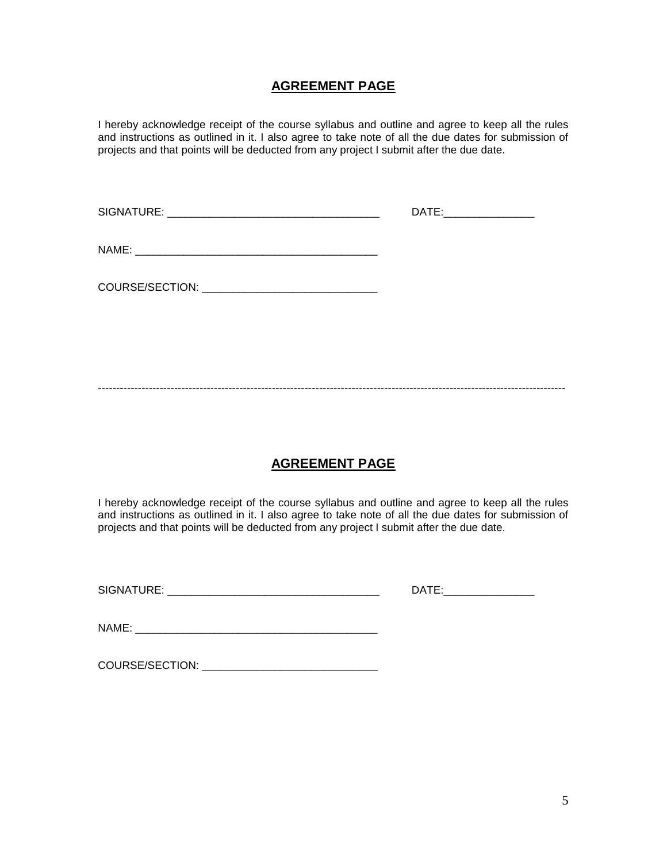### **AGREEMENT PAGE**

I hereby acknowledge receipt of the course syllabus and outline and agree to keep all the rules and instructions as outlined in it. I also agree to take note of all the due dates for submission of projects and that points will be deducted from any project I submit after the due date.

| DATE:__________________ |
|-------------------------|
|                         |
|                         |
|                         |

---------------------------------------------------------------------------------------------------------------------------------

## **AGREEMENT PAGE**

I hereby acknowledge receipt of the course syllabus and outline and agree to keep all the rules and instructions as outlined in it. I also agree to take note of all the due dates for submission of projects and that points will be deducted from any project I submit after the due date.

SIGNATURE: \_\_\_\_\_\_\_\_\_\_\_\_\_\_\_\_\_\_\_\_\_\_\_\_\_\_\_\_\_\_\_\_\_\_\_ DATE:\_\_\_\_\_\_\_\_\_\_\_\_\_\_\_

NAME: \_\_\_\_\_\_\_\_\_\_\_\_\_\_\_\_\_\_\_\_\_\_\_\_\_\_\_\_\_\_\_\_\_\_\_\_\_\_\_\_

COURSE/SECTION: \_\_\_\_\_\_\_\_\_\_\_\_\_\_\_\_\_\_\_\_\_\_\_\_\_\_\_\_\_